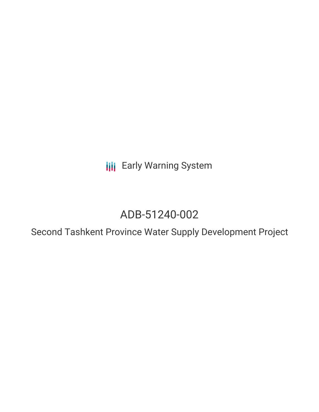**III** Early Warning System

# ADB-51240-002

Second Tashkent Province Water Supply Development Project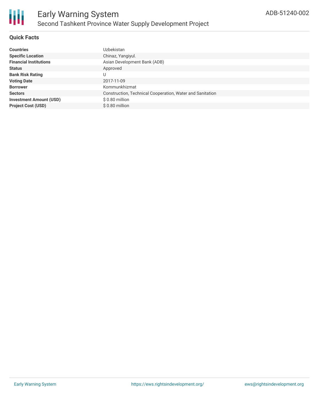## **Quick Facts**

| <b>Countries</b>               | <b>Uzbekistan</b>                                         |
|--------------------------------|-----------------------------------------------------------|
| <b>Specific Location</b>       | Chinaz, Yangiyul.                                         |
| <b>Financial Institutions</b>  | Asian Development Bank (ADB)                              |
| <b>Status</b>                  | Approved                                                  |
| <b>Bank Risk Rating</b>        |                                                           |
| <b>Voting Date</b>             | 2017-11-09                                                |
| <b>Borrower</b>                | Kommunkhizmat                                             |
| <b>Sectors</b>                 | Construction, Technical Cooperation, Water and Sanitation |
| <b>Investment Amount (USD)</b> | $$0.80$ million                                           |
| <b>Project Cost (USD)</b>      | $$0.80$ million                                           |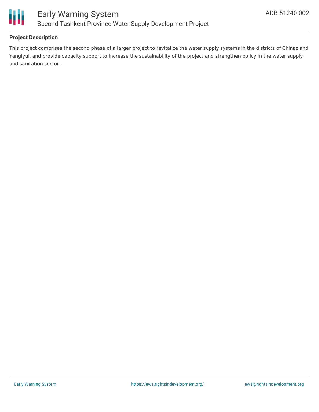

## **Project Description**

This project comprises the second phase of a larger project to revitalize the water supply systems in the districts of Chinaz and Yangiyul, and provide capacity support to increase the sustainability of the project and strengthen policy in the water supply and sanitation sector.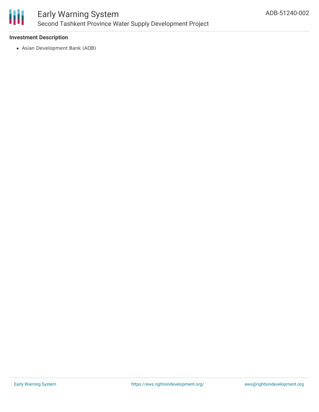

#### **Investment Description**

Asian Development Bank (ADB)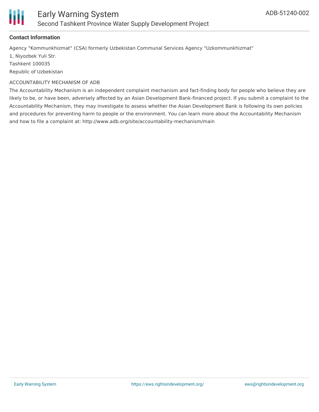

#### **Contact Information**

Agency "Kommunkhizmat" (CSA) formerly Uzbekistan Communal Services Agency "Uzkommunkhizmat"

1, Niyozbek Yuli Str. Tashkent 100035

Republic of Uzbekistan

#### ACCOUNTABILITY MECHANISM OF ADB

The Accountability Mechanism is an independent complaint mechanism and fact-finding body for people who believe they are likely to be, or have been, adversely affected by an Asian Development Bank-financed project. If you submit a complaint to the Accountability Mechanism, they may investigate to assess whether the Asian Development Bank is following its own policies and procedures for preventing harm to people or the environment. You can learn more about the Accountability Mechanism and how to file a complaint at: http://www.adb.org/site/accountability-mechanism/main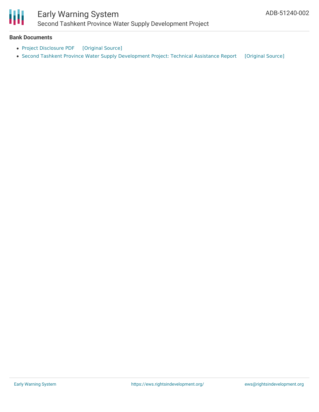

# Early Warning System

Second Tashkent Province Water Supply Development Project

#### **Bank Documents**

- Project [Disclosure](https://ewsdata.rightsindevelopment.org/files/documents/02/ADB-51240-002.pdf) PDF [\[Original](https://www.adb.org/printpdf/projects/51240-002/main) Source]
- Second Tashkent Province Water Supply [Development](https://ewsdata.rightsindevelopment.org/files/documents/02/ADB-51240-002_1KhNmgs.pdf) Project: Technical Assistance Report [\[Original](https://www.adb.org/projects/documents/uzb-51240-002-tar) Source]